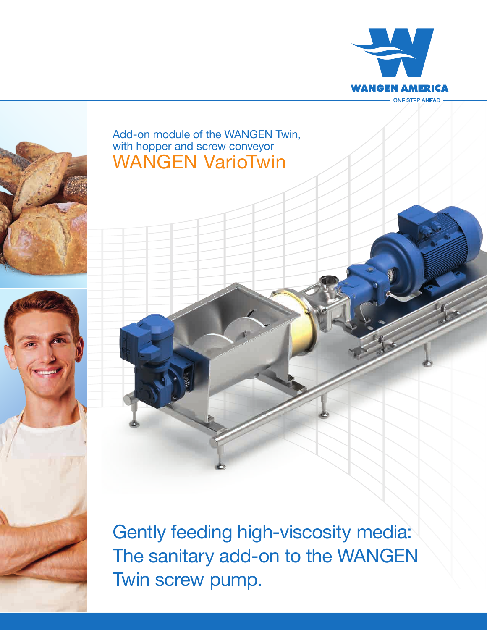



## WANGEN VarioTwin Add-on module of the WANGEN Twin, with hopper and screw conveyor

Gently feeding high-viscosity media: The sanitary add-on to the WANGEN Twin screw pump.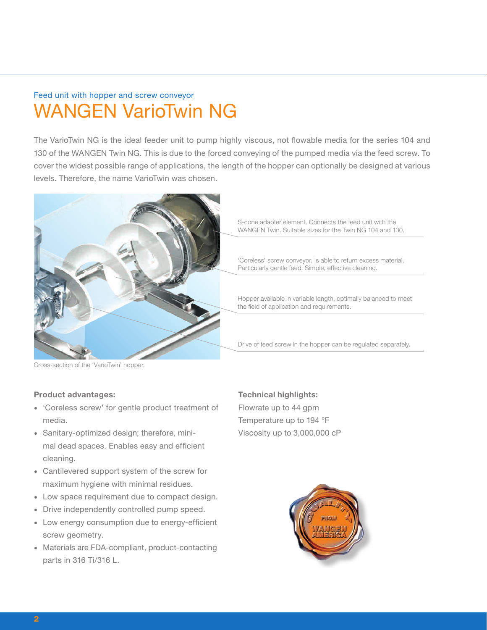# WANGEN VarioTwin NG Feed unit with hopper and screw conveyor

The VarioTwin NG is the ideal feeder unit to pump highly viscous, not flowable media for the series 104 and 130 of the WANGEN Twin NG. This is due to the forced conveying of the pumped media via the feed screw. To cover the widest possible range of applications, the length of the hopper can optionally be designed at various levels. Therefore, the name VarioTwin was chosen.



S-cone adapter element. Connects the feed unit with the WANGEN Twin. Suitable sizes for the Twin NG 104 and 130.

'Coreless' screw conveyor. Is able to return excess material. Particularly gentle feed. Simple, effective cleaning.

Hopper available in variable length, optimally balanced to meet the field of application and requirements.

Drive of feed screw in the hopper can be regulated separately.

Cross-section of the 'VarioTwin' hopper.

### **Product advantages:**

- 'Coreless screw' for gentle product treatment of media.
- Sanitary-optimized design; therefore, minimal dead spaces. Enables easy and efficient cleaning.
- Cantilevered support system of the screw for maximum hygiene with minimal residues.
- Low space requirement due to compact design.
- Drive independently controlled pump speed.
- Low energy consumption due to energy-efficient screw geometry.
- Materials are FDA-compliant, product-contacting parts in 316 Ti/316 L.

**Technical highlights:** Flowrate up to 44 gpm Temperature up to 194 °F Viscosity up to 3,000,000 cP